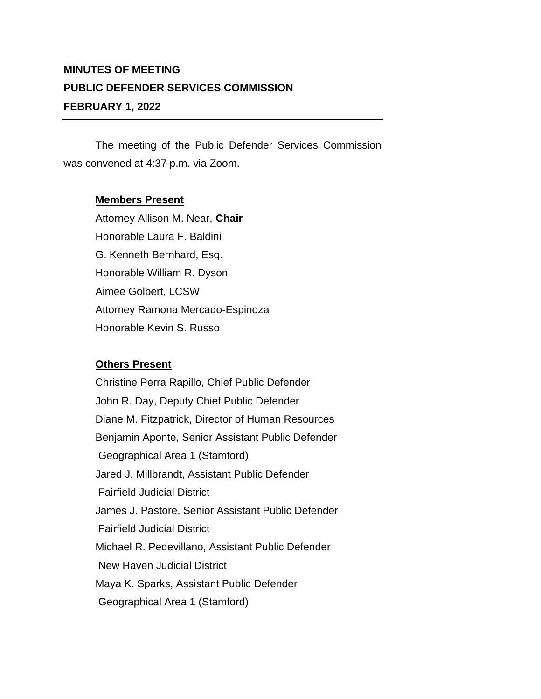## **MINUTES OF MEETING PUBLIC DEFENDER SERVICES COMMISSION FEBRUARY 1, 2022**

The meeting of the Public Defender Services Commission was convened at 4:37 p.m. via Zoom.

## **Members Present**

Attorney Allison M. Near, **Chair** Honorable Laura F. Baldini G. Kenneth Bernhard, Esq. Honorable William R. Dyson Aimee Golbert, LCSW Attorney Ramona Mercado-Espinoza Honorable Kevin S. Russo

## **Others Present**

Christine Perra Rapillo, Chief Public Defender John R. Day, Deputy Chief Public Defender Diane M. Fitzpatrick, Director of Human Resources Benjamin Aponte, Senior Assistant Public Defender Geographical Area 1 (Stamford) Jared J. Millbrandt, Assistant Public Defender Fairfield Judicial District James J. Pastore, Senior Assistant Public Defender Fairfield Judicial District Michael R. Pedevillano, Assistant Public Defender New Haven Judicial District Maya K. Sparks, Assistant Public Defender Geographical Area 1 (Stamford)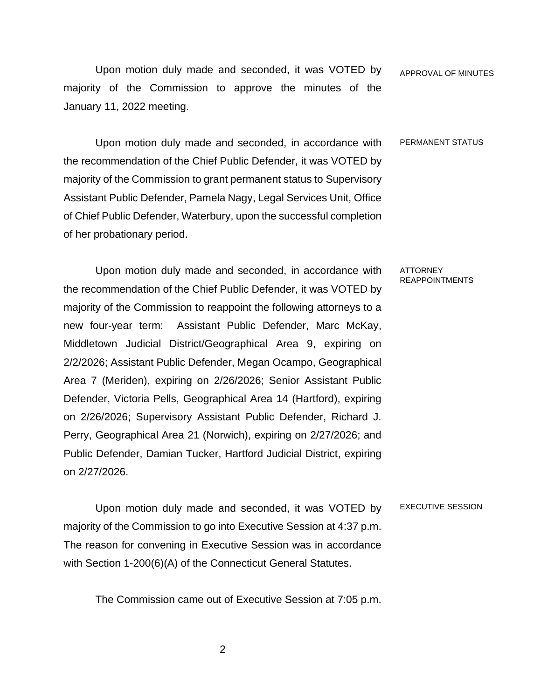Upon motion duly made and seconded, it was VOTED by majority of the Commission to approve the minutes of the January 11, 2022 meeting. APPROVAL OF MINUTES

Upon motion duly made and seconded, in accordance with the recommendation of the Chief Public Defender, it was VOTED by majority of the Commission to grant permanent status to Supervisory Assistant Public Defender, Pamela Nagy, Legal Services Unit, Office of Chief Public Defender, Waterbury, upon the successful completion of her probationary period. PERMANENT STATUS

Upon motion duly made and seconded, in accordance with the recommendation of the Chief Public Defender, it was VOTED by majority of the Commission to reappoint the following attorneys to a new four-year term: Assistant Public Defender, Marc McKay, Middletown Judicial District/Geographical Area 9, expiring on 2/2/2026; Assistant Public Defender, Megan Ocampo, Geographical Area 7 (Meriden), expiring on 2/26/2026; Senior Assistant Public Defender, Victoria Pells, Geographical Area 14 (Hartford), expiring on 2/26/2026; Supervisory Assistant Public Defender, Richard J. Perry, Geographical Area 21 (Norwich), expiring on 2/27/2026; and Public Defender, Damian Tucker, Hartford Judicial District, expiring on 2/27/2026.

Upon motion duly made and seconded, it was VOTED by majority of the Commission to go into Executive Session at 4:37 p.m. The reason for convening in Executive Session was in accordance with Section 1-200(6)(A) of the Connecticut General Statutes. EXECUTIVE SESSION

The Commission came out of Executive Session at 7:05 p.m.

ATTORNEY REAPPOINTMENTS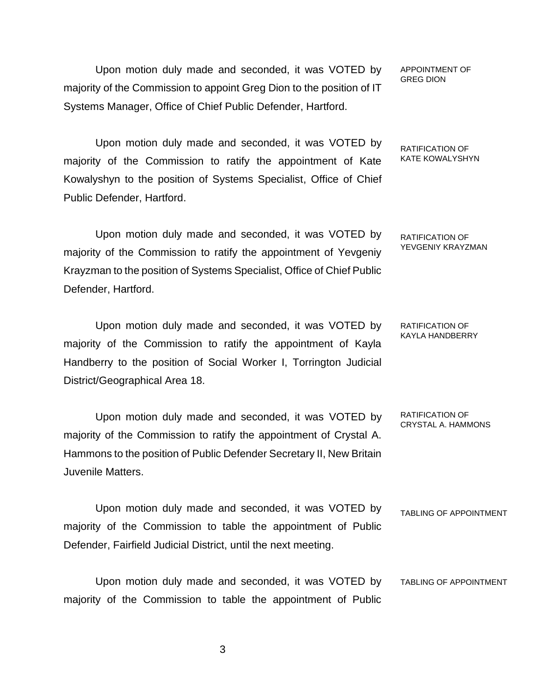Upon motion duly made and seconded, it was VOTED by majority of the Commission to appoint Greg Dion to the position of IT Systems Manager, Office of Chief Public Defender, Hartford.

Upon motion duly made and seconded, it was VOTED by majority of the Commission to ratify the appointment of Kate Kowalyshyn to the position of Systems Specialist, Office of Chief Public Defender, Hartford.

Upon motion duly made and seconded, it was VOTED by majority of the Commission to ratify the appointment of Yevgeniy Krayzman to the position of Systems Specialist, Office of Chief Public Defender, Hartford.

Upon motion duly made and seconded, it was VOTED by majority of the Commission to ratify the appointment of Kayla Handberry to the position of Social Worker I, Torrington Judicial District/Geographical Area 18.

Upon motion duly made and seconded, it was VOTED by majority of the Commission to ratify the appointment of Crystal A. Hammons to the position of Public Defender Secretary II, New Britain Juvenile Matters. RATIFICATION OF CRYSTAL A. HAMMONS

Upon motion duly made and seconded, it was VOTED by majority of the Commission to table the appointment of Public Defender, Fairfield Judicial District, until the next meeting. TABLING OF APPOINTMENT

Upon motion duly made and seconded, it was VOTED by majority of the Commission to table the appointment of Public TABLING OF APPOINTMENT

APPOINTMENT OF GREG DION

RATIFICATION OF KATE KOWALYSHYN

RATIFICATION OF YEVGENIY KRAYZMAN

RATIFICATION OF KAYLA HANDBERRY